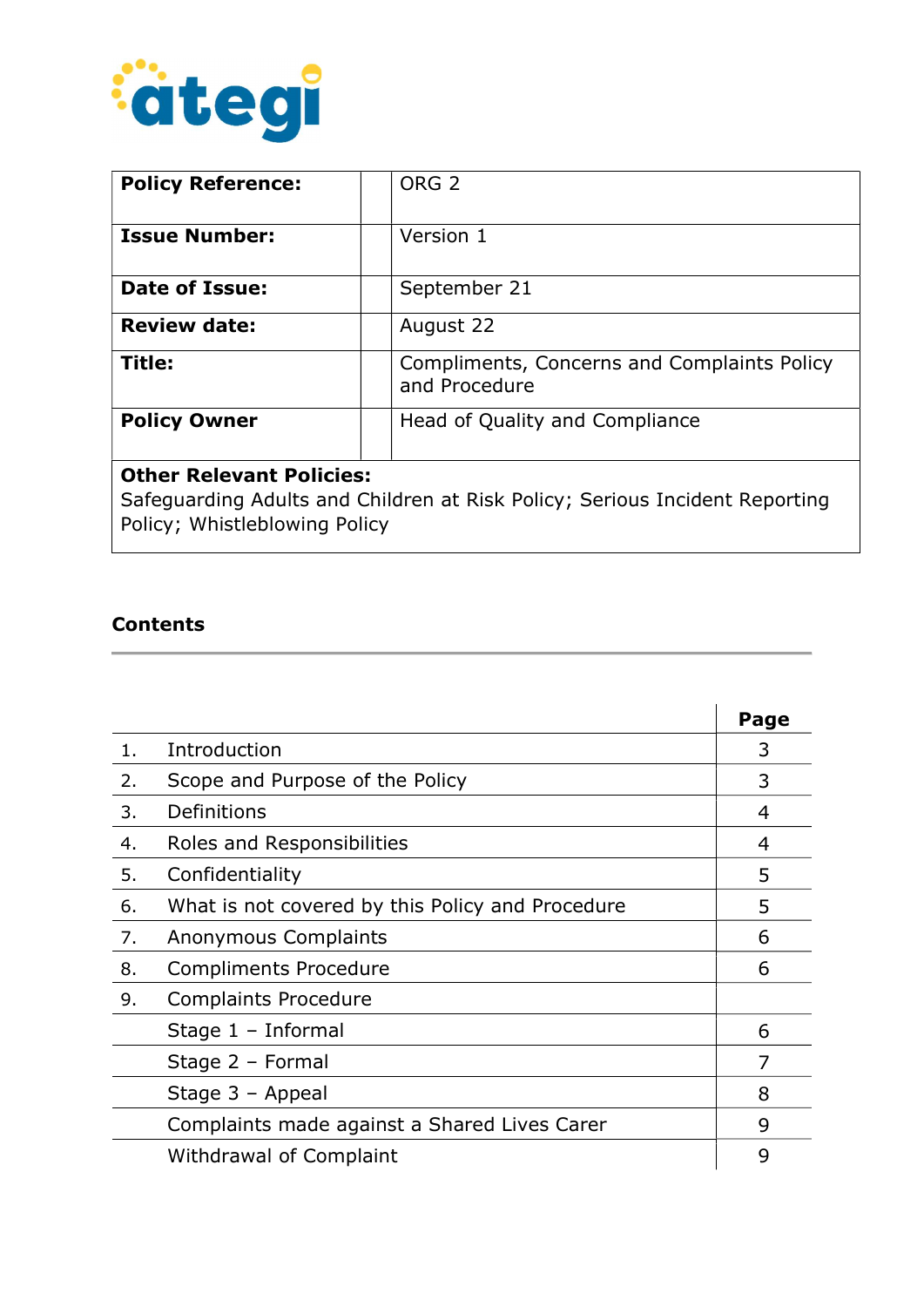

| <b>Policy Reference:</b>                                                                                                                        | ORG <sub>2</sub>                                             |
|-------------------------------------------------------------------------------------------------------------------------------------------------|--------------------------------------------------------------|
| <b>Issue Number:</b>                                                                                                                            | Version 1                                                    |
| Date of Issue:                                                                                                                                  | September 21                                                 |
| <b>Review date:</b>                                                                                                                             | August 22                                                    |
| Title:                                                                                                                                          | Compliments, Concerns and Complaints Policy<br>and Procedure |
| <b>Policy Owner</b>                                                                                                                             | Head of Quality and Compliance                               |
| <b>Other Relevant Policies:</b><br>Safeguarding Adults and Children at Risk Policy; Serious Incident Reporting<br>Policy; Whistleblowing Policy |                                                              |

## Contents

|       |                                                  | Page |
|-------|--------------------------------------------------|------|
| $1$ . | Introduction                                     | 3    |
| 2.    | Scope and Purpose of the Policy                  | 3    |
| 3.    | Definitions                                      | 4    |
| 4.    | Roles and Responsibilities                       | 4    |
| 5.    | Confidentiality                                  | 5    |
| 6.    | What is not covered by this Policy and Procedure | 5    |
| 7.    | Anonymous Complaints                             | 6    |
| 8.    | <b>Compliments Procedure</b>                     | 6    |
| 9.    | <b>Complaints Procedure</b>                      |      |
|       | Stage $1$ – Informal                             | 6    |
|       | Stage 2 - Formal                                 |      |
|       | Stage $3 -$ Appeal                               | 8    |
|       | Complaints made against a Shared Lives Carer     | 9    |
|       | <b>Withdrawal of Complaint</b>                   | 9    |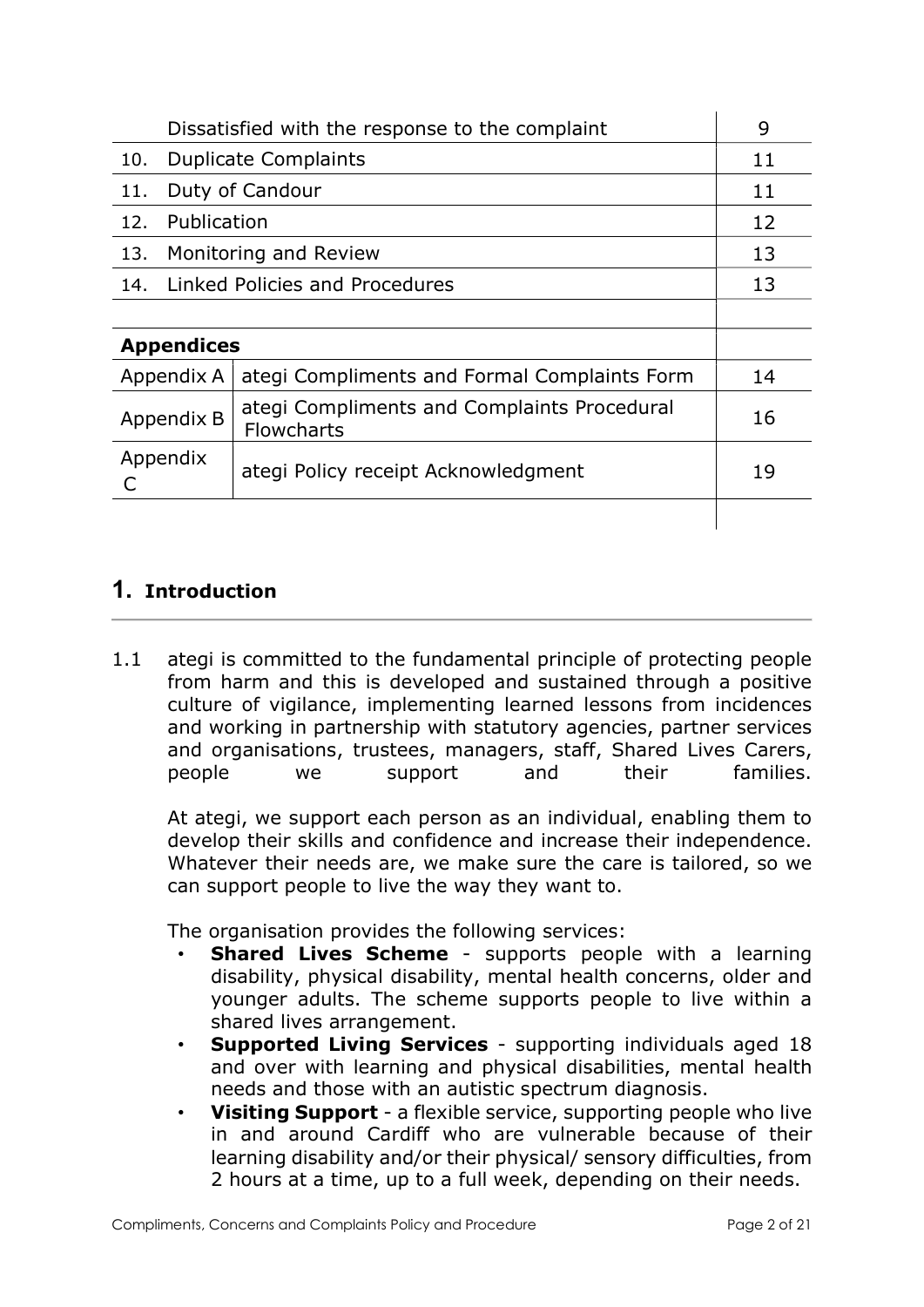| Dissatisfied with the response to the complaint |                                                                  | 9  |
|-------------------------------------------------|------------------------------------------------------------------|----|
| 10.                                             | <b>Duplicate Complaints</b>                                      |    |
| 11.                                             | Duty of Candour                                                  |    |
| 12.                                             | Publication                                                      |    |
| 13<br>Monitoring and Review<br>13.              |                                                                  |    |
| Linked Policies and Procedures<br>13<br>14.     |                                                                  |    |
|                                                 |                                                                  |    |
| <b>Appendices</b>                               |                                                                  |    |
| Appendix A                                      | ategi Compliments and Formal Complaints Form                     | 14 |
| Appendix B                                      | ategi Compliments and Complaints Procedural<br><b>Flowcharts</b> | 16 |
| Appendix                                        | ategi Policy receipt Acknowledgment                              | 19 |
|                                                 |                                                                  |    |

# 1. Introduction

1.1 ategi is committed to the fundamental principle of protecting people from harm and this is developed and sustained through a positive culture of vigilance, implementing learned lessons from incidences and working in partnership with statutory agencies, partner services and organisations, trustees, managers, staff, Shared Lives Carers, people we support and their families.

 At ategi, we support each person as an individual, enabling them to develop their skills and confidence and increase their independence. Whatever their needs are, we make sure the care is tailored, so we can support people to live the way they want to.

The organisation provides the following services:

- **Shared Lives Scheme** supports people with a learning disability, physical disability, mental health concerns, older and younger adults. The scheme supports people to live within a shared lives arrangement.
- Supported Living Services supporting individuals aged 18 and over with learning and physical disabilities, mental health needs and those with an autistic spectrum diagnosis.
- **Visiting Support** a flexible service, supporting people who live in and around Cardiff who are vulnerable because of their learning disability and/or their physical/ sensory difficulties, from 2 hours at a time, up to a full week, depending on their needs.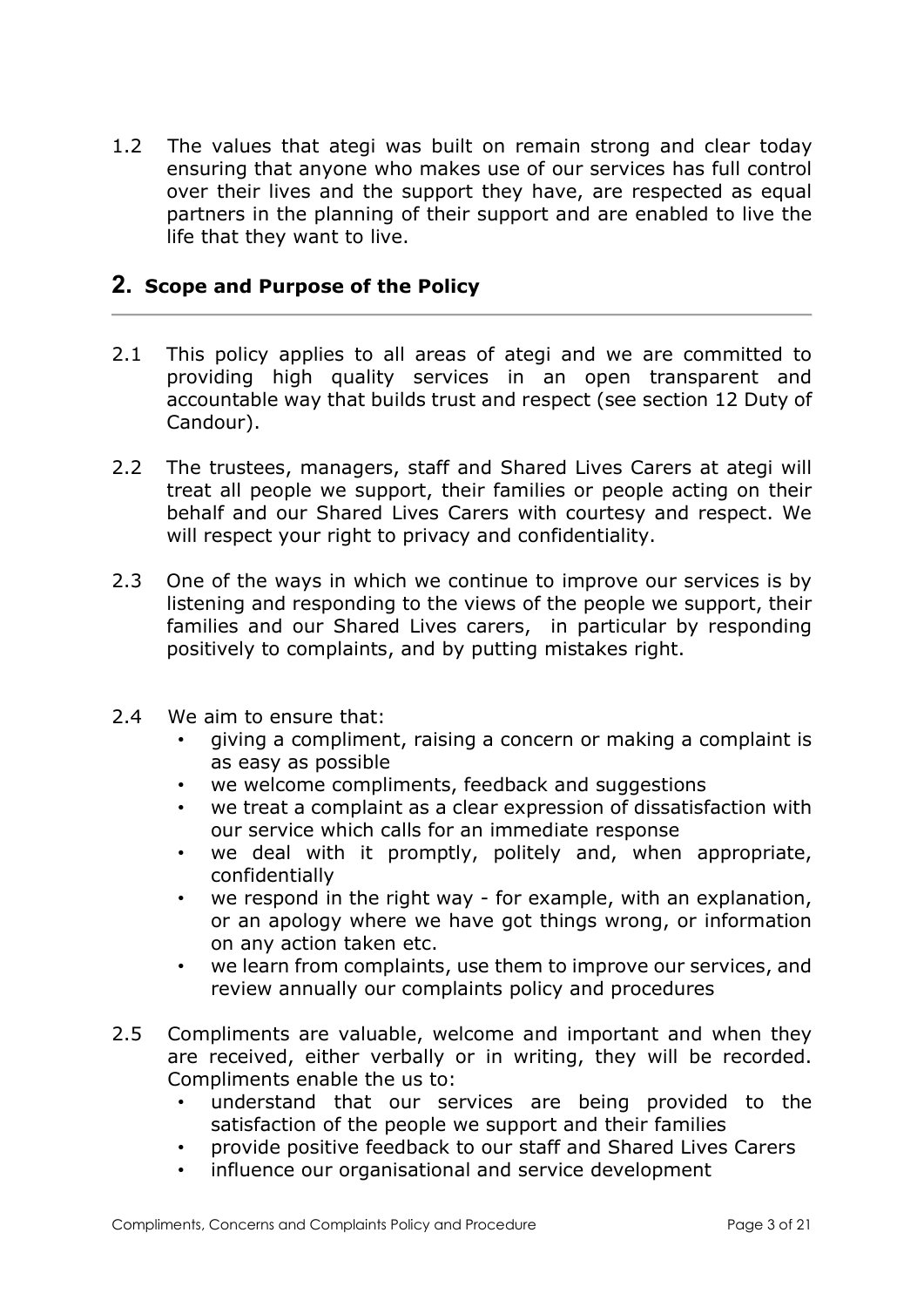1.2 The values that ategi was built on remain strong and clear today ensuring that anyone who makes use of our services has full control over their lives and the support they have, are respected as equal partners in the planning of their support and are enabled to live the life that they want to live.

### 2. Scope and Purpose of the Policy

- 2.1 This policy applies to all areas of ategi and we are committed to providing high quality services in an open transparent and accountable way that builds trust and respect (see section 12 Duty of Candour).
- 2.2 The trustees, managers, staff and Shared Lives Carers at ategi will treat all people we support, their families or people acting on their behalf and our Shared Lives Carers with courtesy and respect. We will respect your right to privacy and confidentiality.
- 2.3 One of the ways in which we continue to improve our services is by listening and responding to the views of the people we support, their families and our Shared Lives carers, in particular by responding positively to complaints, and by putting mistakes right.
- 2.4 We aim to ensure that:
	- giving a compliment, raising a concern or making a complaint is as easy as possible
	- we welcome compliments, feedback and suggestions
	- we treat a complaint as a clear expression of dissatisfaction with our service which calls for an immediate response
	- we deal with it promptly, politely and, when appropriate, confidentially
	- we respond in the right way for example, with an explanation, or an apology where we have got things wrong, or information on any action taken etc.
	- we learn from complaints, use them to improve our services, and review annually our complaints policy and procedures
- 2.5 Compliments are valuable, welcome and important and when they are received, either verbally or in writing, they will be recorded. Compliments enable the us to:
	- understand that our services are being provided to the satisfaction of the people we support and their families
	- provide positive feedback to our staff and Shared Lives Carers
	- influence our organisational and service development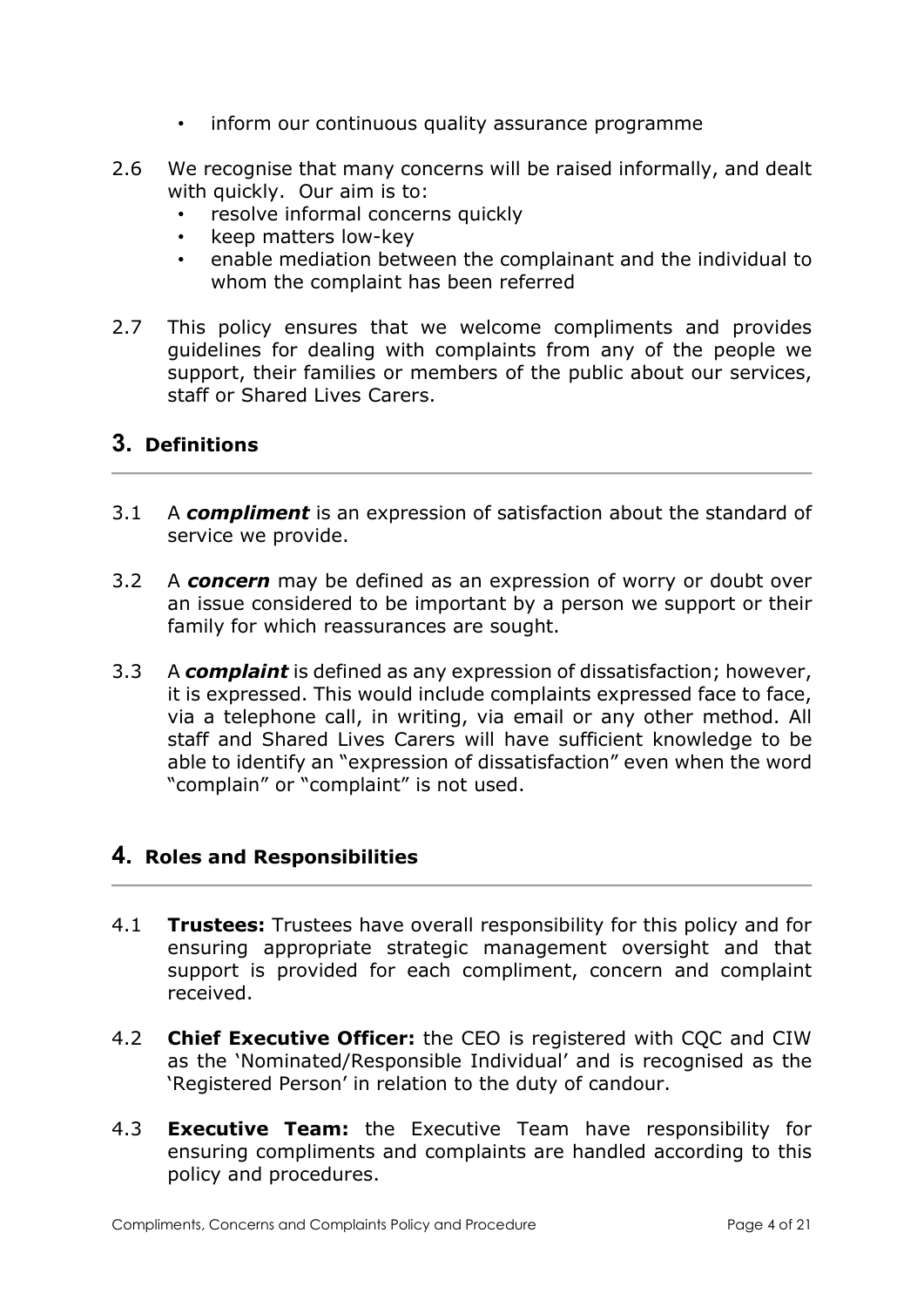- inform our continuous quality assurance programme
- 2.6 We recognise that many concerns will be raised informally, and dealt with quickly. Our aim is to:
	- resolve informal concerns quickly
	- keep matters low-key
	- enable mediation between the complainant and the individual to whom the complaint has been referred
- 2.7 This policy ensures that we welcome compliments and provides guidelines for dealing with complaints from any of the people we support, their families or members of the public about our services, staff or Shared Lives Carers.

# 3. Definitions

- 3.1 A compliment is an expression of satisfaction about the standard of service we provide.
- 3.2 A concern may be defined as an expression of worry or doubt over an issue considered to be important by a person we support or their family for which reassurances are sought.
- 3.3 A complaint is defined as any expression of dissatisfaction; however, it is expressed. This would include complaints expressed face to face, via a telephone call, in writing, via email or any other method. All staff and Shared Lives Carers will have sufficient knowledge to be able to identify an "expression of dissatisfaction" even when the word "complain" or "complaint" is not used.

## 4. Roles and Responsibilities

- 4.1 Trustees: Trustees have overall responsibility for this policy and for ensuring appropriate strategic management oversight and that support is provided for each compliment, concern and complaint received.
- 4.2 **Chief Executive Officer:** the CEO is registered with COC and CIW as the 'Nominated/Responsible Individual' and is recognised as the 'Registered Person' in relation to the duty of candour.
- 4.3 **Executive Team:** the Executive Team have responsibility for ensuring compliments and complaints are handled according to this policy and procedures.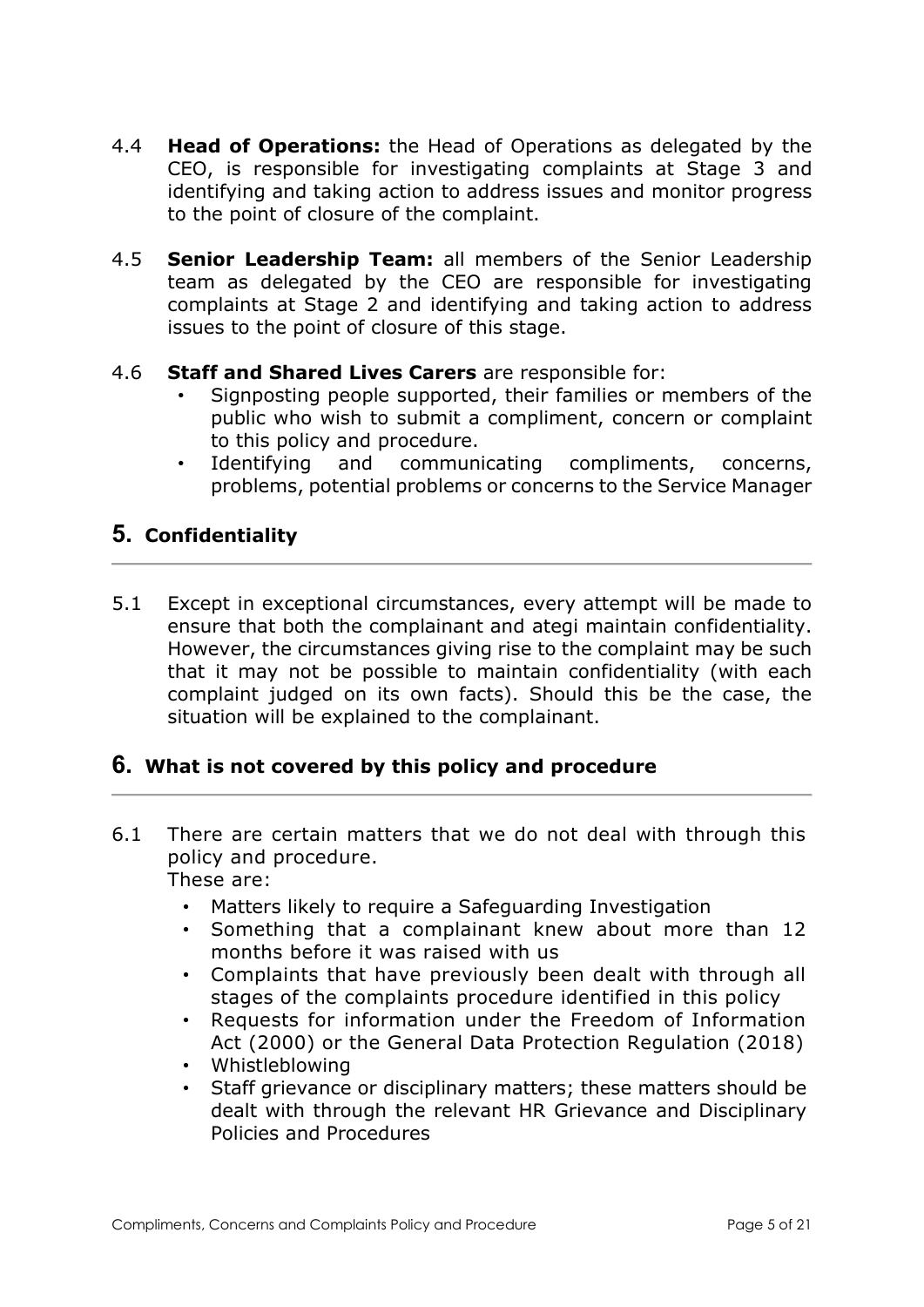- 4.4 **Head of Operations:** the Head of Operations as delegated by the CEO, is responsible for investigating complaints at Stage 3 and identifying and taking action to address issues and monitor progress to the point of closure of the complaint.
- 4.5 **Senior Leadership Team:** all members of the Senior Leadership team as delegated by the CEO are responsible for investigating complaints at Stage 2 and identifying and taking action to address issues to the point of closure of this stage.

### 4.6 **Staff and Shared Lives Carers** are responsible for:

- Signposting people supported, their families or members of the public who wish to submit a compliment, concern or complaint to this policy and procedure.
- Identifying and communicating compliments, concerns, problems, potential problems or concerns to the Service Manager

# 5. Confidentiality

5.1 Except in exceptional circumstances, every attempt will be made to ensure that both the complainant and ategi maintain confidentiality. However, the circumstances giving rise to the complaint may be such that it may not be possible to maintain confidentiality (with each complaint judged on its own facts). Should this be the case, the situation will be explained to the complainant.

## 6. What is not covered by this policy and procedure

- 6.1 There are certain matters that we do not deal with through this policy and procedure. These are:
	- Matters likely to require a Safeguarding Investigation
	- Something that a complainant knew about more than 12 months before it was raised with us
	- Complaints that have previously been dealt with through all stages of the complaints procedure identified in this policy
	- Requests for information under the Freedom of Information Act (2000) or the General Data Protection Regulation (2018)
	- Whistleblowing
	- Staff grievance or disciplinary matters; these matters should be dealt with through the relevant HR Grievance and Disciplinary Policies and Procedures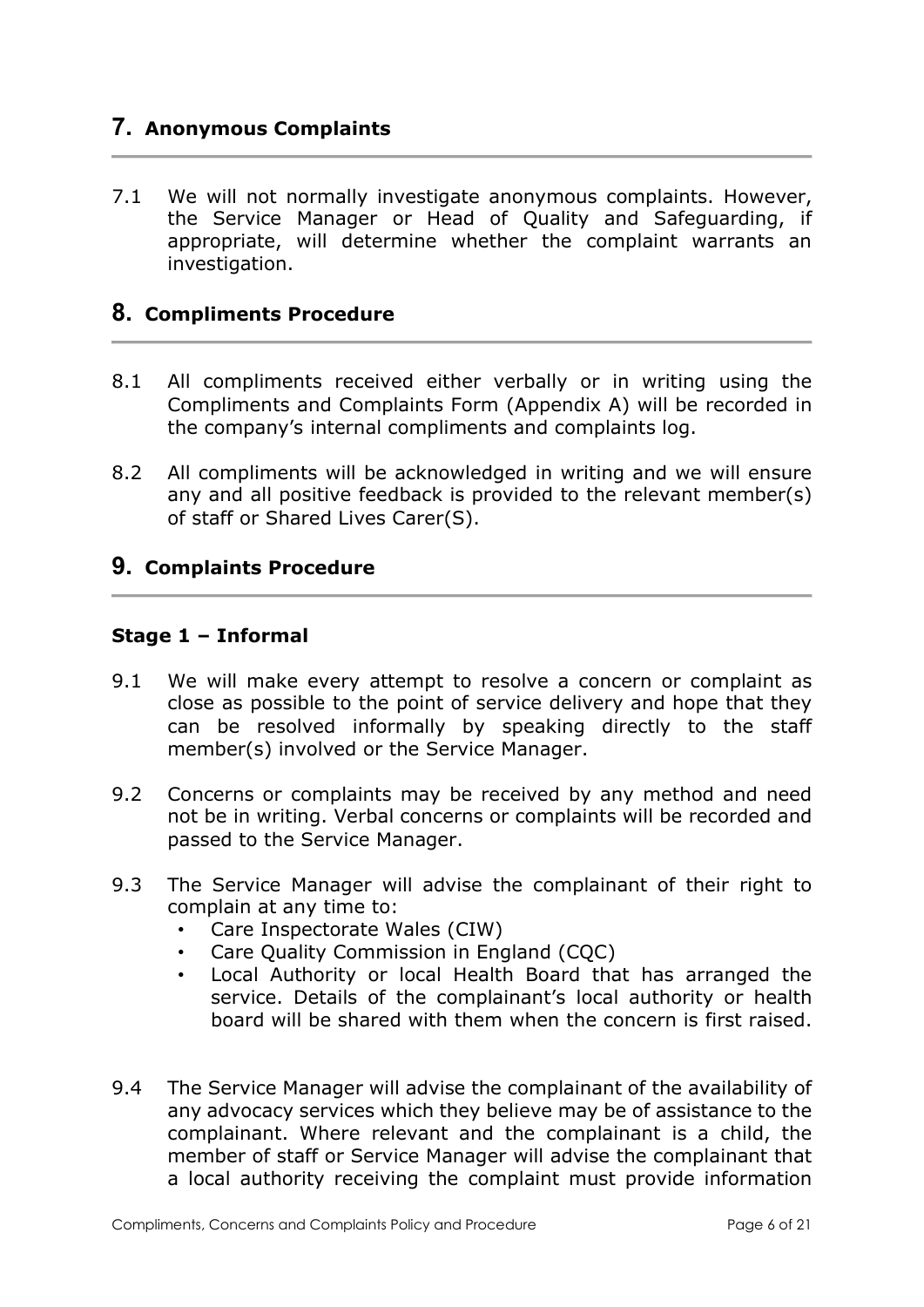# 7. Anonymous Complaints

7.1 We will not normally investigate anonymous complaints. However, the Service Manager or Head of Quality and Safeguarding, if appropriate, will determine whether the complaint warrants an investigation.

## 8. Compliments Procedure

- 8.1 All compliments received either verbally or in writing using the Compliments and Complaints Form (Appendix A) will be recorded in the company's internal compliments and complaints log.
- 8.2 All compliments will be acknowledged in writing and we will ensure any and all positive feedback is provided to the relevant member(s) of staff or Shared Lives Carer(S).

### 9. Complaints Procedure

#### Stage 1 – Informal

- 9.1 We will make every attempt to resolve a concern or complaint as close as possible to the point of service delivery and hope that they can be resolved informally by speaking directly to the staff member(s) involved or the Service Manager.
- 9.2 Concerns or complaints may be received by any method and need not be in writing. Verbal concerns or complaints will be recorded and passed to the Service Manager.
- 9.3 The Service Manager will advise the complainant of their right to complain at any time to:
	- Care Inspectorate Wales (CIW)
	- Care Quality Commission in England (CQC)
	- Local Authority or local Health Board that has arranged the service. Details of the complainant's local authority or health board will be shared with them when the concern is first raised.
- 9.4 The Service Manager will advise the complainant of the availability of any advocacy services which they believe may be of assistance to the complainant. Where relevant and the complainant is a child, the member of staff or Service Manager will advise the complainant that a local authority receiving the complaint must provide information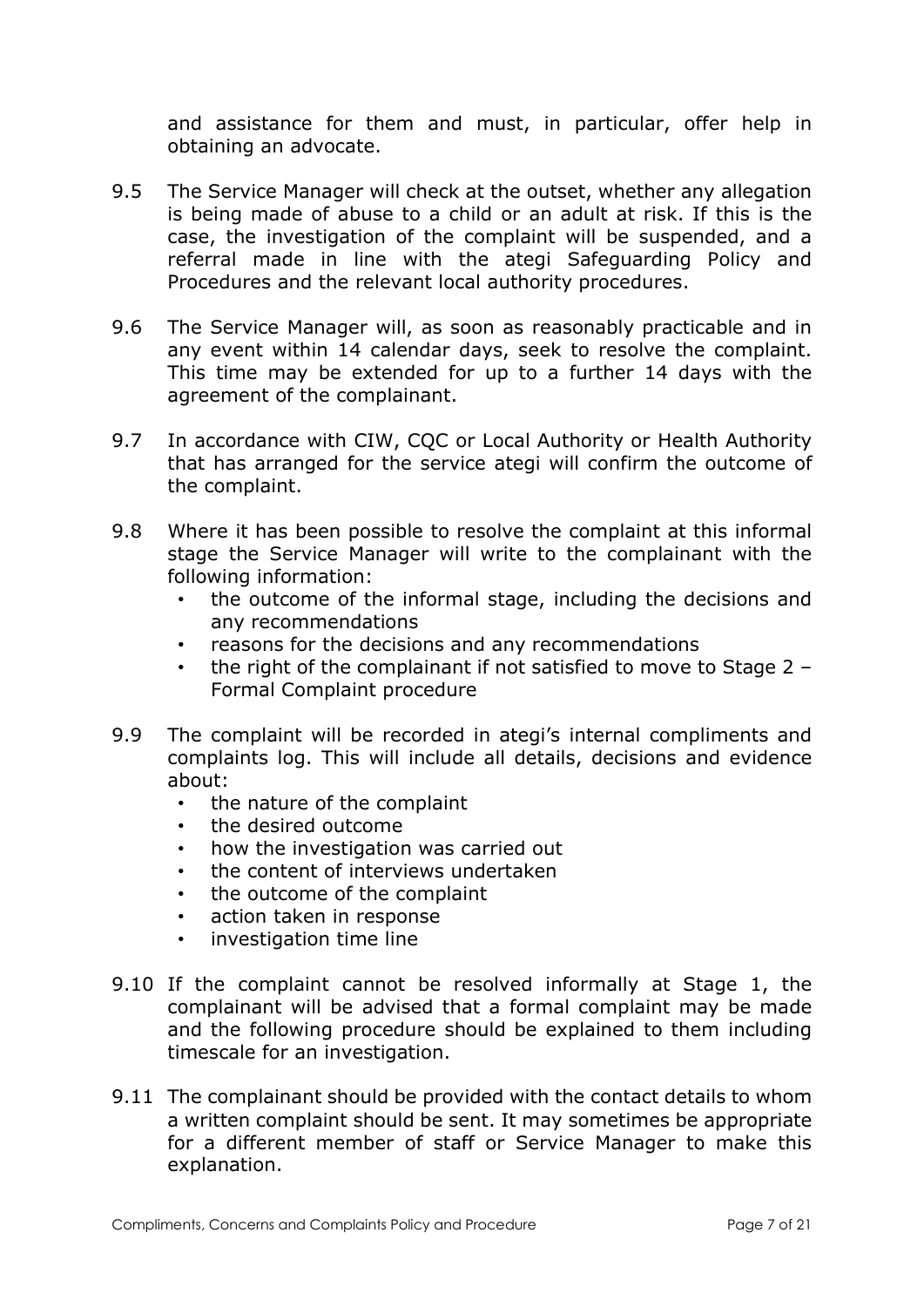and assistance for them and must, in particular, offer help in obtaining an advocate.

- 9.5 The Service Manager will check at the outset, whether any allegation is being made of abuse to a child or an adult at risk. If this is the case, the investigation of the complaint will be suspended, and a referral made in line with the ategi Safeguarding Policy and Procedures and the relevant local authority procedures.
- 9.6 The Service Manager will, as soon as reasonably practicable and in any event within 14 calendar days, seek to resolve the complaint. This time may be extended for up to a further 14 days with the agreement of the complainant.
- 9.7 In accordance with CIW, CQC or Local Authority or Health Authority that has arranged for the service ategi will confirm the outcome of the complaint.
- 9.8 Where it has been possible to resolve the complaint at this informal stage the Service Manager will write to the complainant with the following information:
	- the outcome of the informal stage, including the decisions and any recommendations
	- reasons for the decisions and any recommendations
	- the right of the complainant if not satisfied to move to Stage 2 Formal Complaint procedure
- 9.9 The complaint will be recorded in ategi's internal compliments and complaints log. This will include all details, decisions and evidence about:
	- the nature of the complaint
	- the desired outcome
	- how the investigation was carried out
	- the content of interviews undertaken
	- the outcome of the complaint
	- action taken in response
	- investigation time line
- 9.10 If the complaint cannot be resolved informally at Stage 1, the complainant will be advised that a formal complaint may be made and the following procedure should be explained to them including timescale for an investigation.
- 9.11 The complainant should be provided with the contact details to whom a written complaint should be sent. It may sometimes be appropriate for a different member of staff or Service Manager to make this explanation.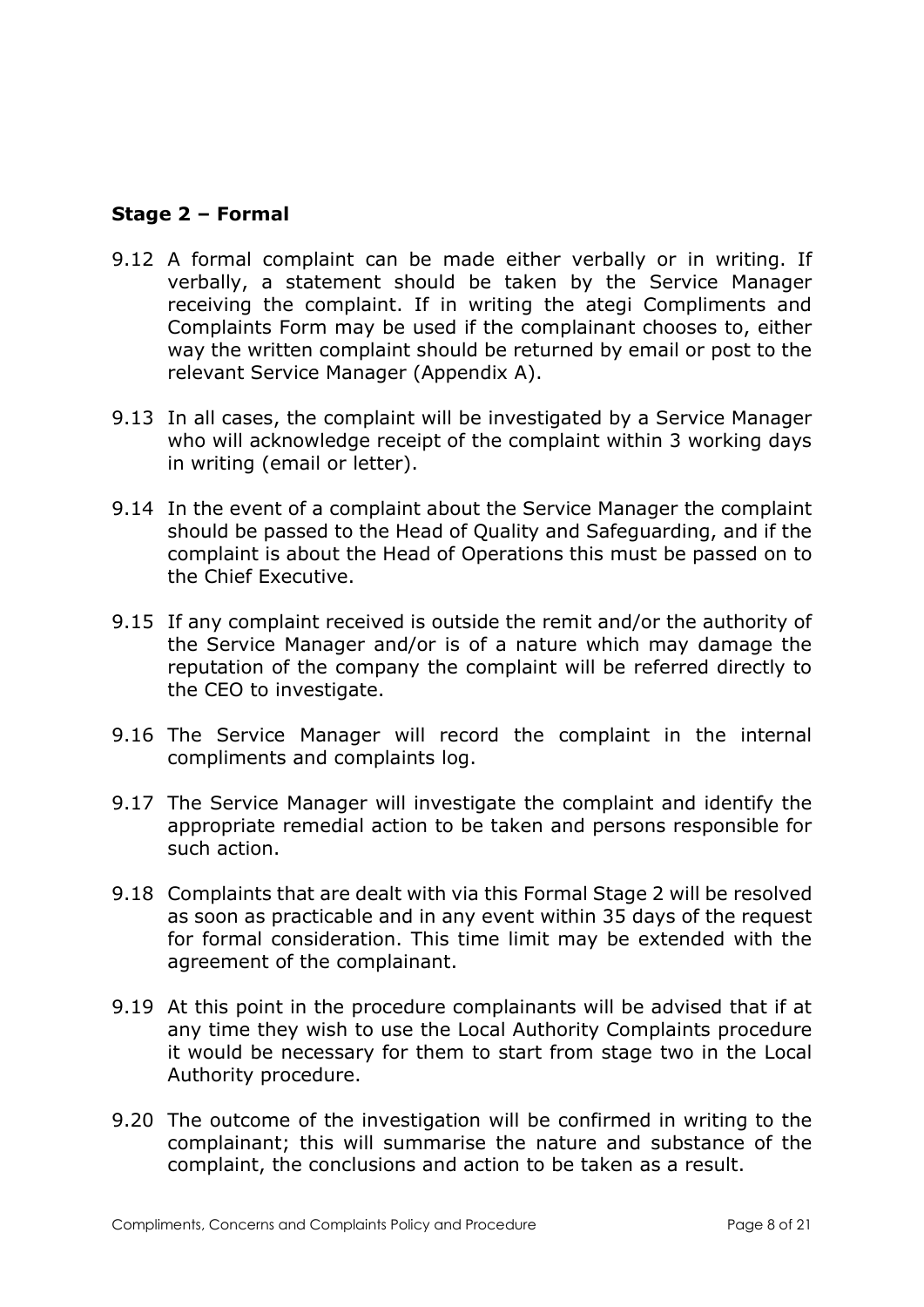### Stage 2 – Formal

- 9.12 A formal complaint can be made either verbally or in writing. If verbally, a statement should be taken by the Service Manager receiving the complaint. If in writing the ategi Compliments and Complaints Form may be used if the complainant chooses to, either way the written complaint should be returned by email or post to the relevant Service Manager (Appendix A).
- 9.13 In all cases, the complaint will be investigated by a Service Manager who will acknowledge receipt of the complaint within 3 working days in writing (email or letter).
- 9.14 In the event of a complaint about the Service Manager the complaint should be passed to the Head of Quality and Safeguarding, and if the complaint is about the Head of Operations this must be passed on to the Chief Executive.
- 9.15 If any complaint received is outside the remit and/or the authority of the Service Manager and/or is of a nature which may damage the reputation of the company the complaint will be referred directly to the CEO to investigate.
- 9.16 The Service Manager will record the complaint in the internal compliments and complaints log.
- 9.17 The Service Manager will investigate the complaint and identify the appropriate remedial action to be taken and persons responsible for such action.
- 9.18 Complaints that are dealt with via this Formal Stage 2 will be resolved as soon as practicable and in any event within 35 days of the request for formal consideration. This time limit may be extended with the agreement of the complainant.
- 9.19 At this point in the procedure complainants will be advised that if at any time they wish to use the Local Authority Complaints procedure it would be necessary for them to start from stage two in the Local Authority procedure.
- 9.20 The outcome of the investigation will be confirmed in writing to the complainant; this will summarise the nature and substance of the complaint, the conclusions and action to be taken as a result.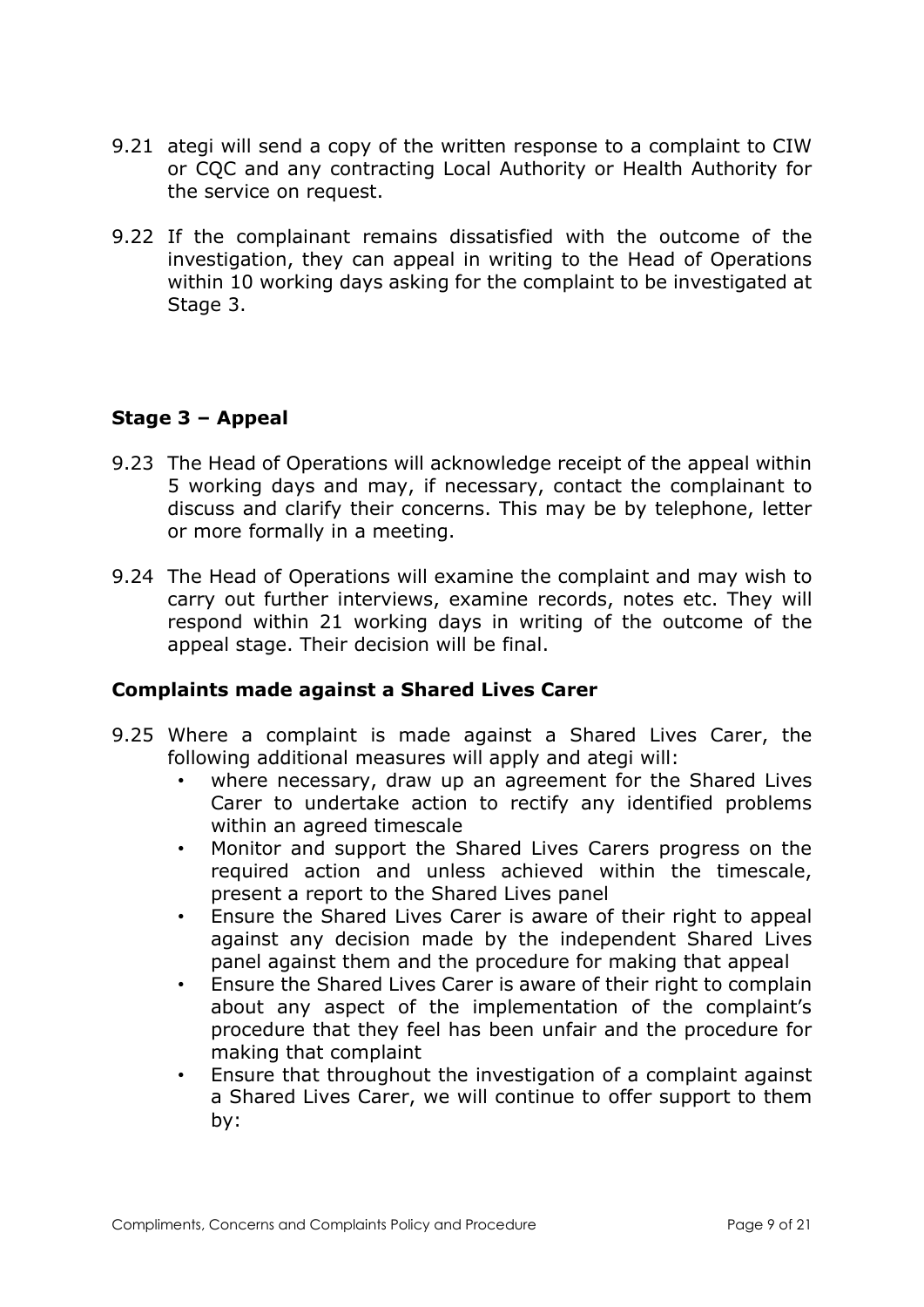- 9.21 ategi will send a copy of the written response to a complaint to CIW or CQC and any contracting Local Authority or Health Authority for the service on request.
- 9.22 If the complainant remains dissatisfied with the outcome of the investigation, they can appeal in writing to the Head of Operations within 10 working days asking for the complaint to be investigated at Stage 3.

## Stage 3 – Appeal

- 9.23 The Head of Operations will acknowledge receipt of the appeal within 5 working days and may, if necessary, contact the complainant to discuss and clarify their concerns. This may be by telephone, letter or more formally in a meeting.
- 9.24 The Head of Operations will examine the complaint and may wish to carry out further interviews, examine records, notes etc. They will respond within 21 working days in writing of the outcome of the appeal stage. Their decision will be final.

## Complaints made against a Shared Lives Carer

- 9.25 Where a complaint is made against a Shared Lives Carer, the following additional measures will apply and ategi will:
	- where necessary, draw up an agreement for the Shared Lives Carer to undertake action to rectify any identified problems within an agreed timescale
	- Monitor and support the Shared Lives Carers progress on the required action and unless achieved within the timescale, present a report to the Shared Lives panel
	- Ensure the Shared Lives Carer is aware of their right to appeal against any decision made by the independent Shared Lives panel against them and the procedure for making that appeal
	- Ensure the Shared Lives Carer is aware of their right to complain about any aspect of the implementation of the complaint's procedure that they feel has been unfair and the procedure for making that complaint
	- Ensure that throughout the investigation of a complaint against a Shared Lives Carer, we will continue to offer support to them by: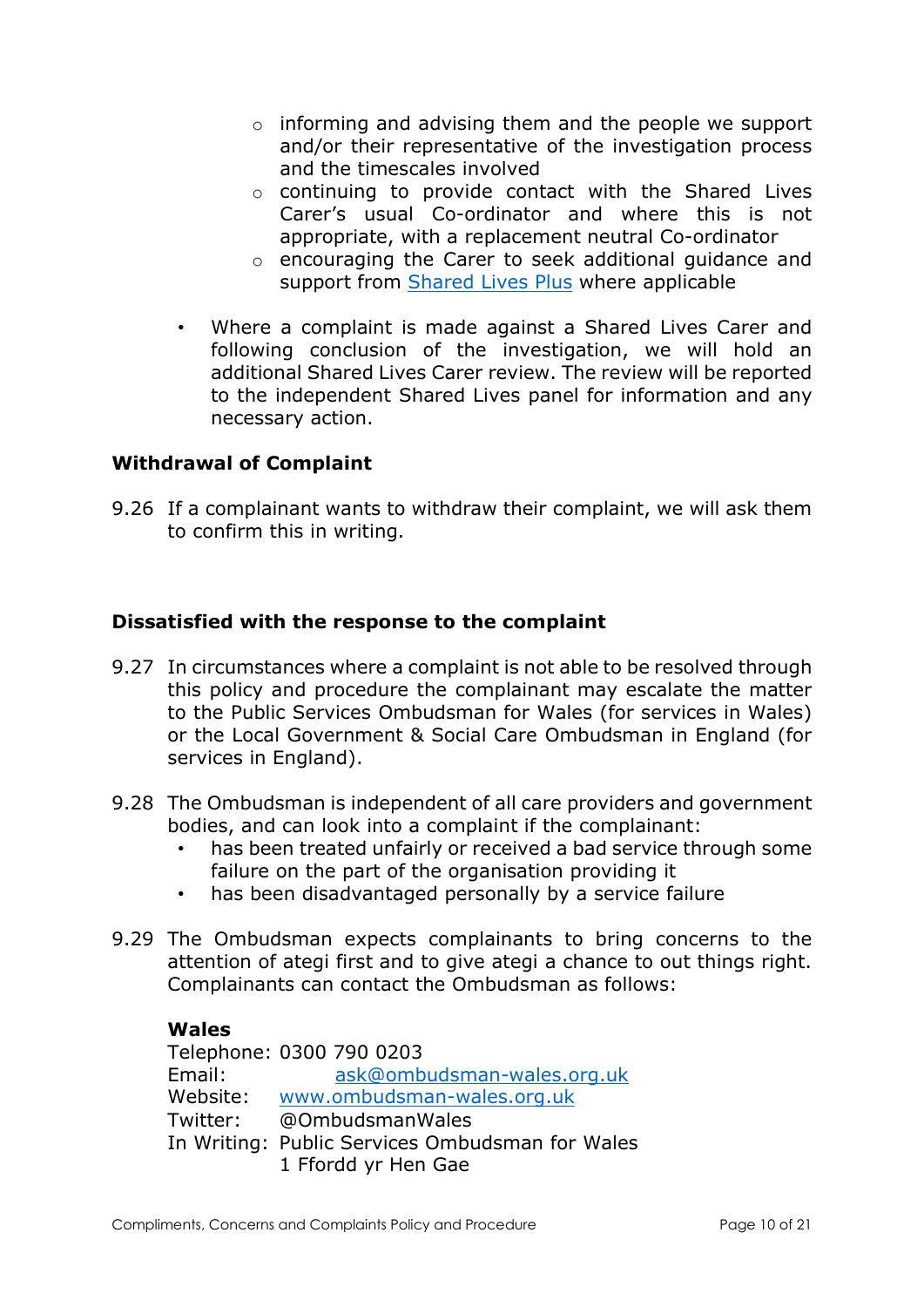- o informing and advising them and the people we support and/or their representative of the investigation process and the timescales involved
- o continuing to provide contact with the Shared Lives Carer's usual Co-ordinator and where this is not appropriate, with a replacement neutral Co-ordinator
- o encouraging the Carer to seek additional guidance and support from Shared Lives Plus where applicable
- Where a complaint is made against a Shared Lives Carer and following conclusion of the investigation, we will hold an additional Shared Lives Carer review. The review will be reported to the independent Shared Lives panel for information and any necessary action.

### Withdrawal of Complaint

9.26 If a complainant wants to withdraw their complaint, we will ask them to confirm this in writing.

### Dissatisfied with the response to the complaint

- 9.27 In circumstances where a complaint is not able to be resolved through this policy and procedure the complainant may escalate the matter to the Public Services Ombudsman for Wales (for services in Wales) or the Local Government & Social Care Ombudsman in England (for services in England).
- 9.28 The Ombudsman is independent of all care providers and government bodies, and can look into a complaint if the complainant:
	- has been treated unfairly or received a bad service through some failure on the part of the organisation providing it
	- has been disadvantaged personally by a service failure
- 9.29 The Ombudsman expects complainants to bring concerns to the attention of ategi first and to give ategi a chance to out things right. Complainants can contact the Ombudsman as follows:

### Wales

 Telephone: 0300 790 0203 Email: ask@ombudsman-wales.org.uk Website: www.ombudsman-wales.org.uk Twitter: @OmbudsmanWales In Writing: Public Services Ombudsman for Wales 1 Ffordd yr Hen Gae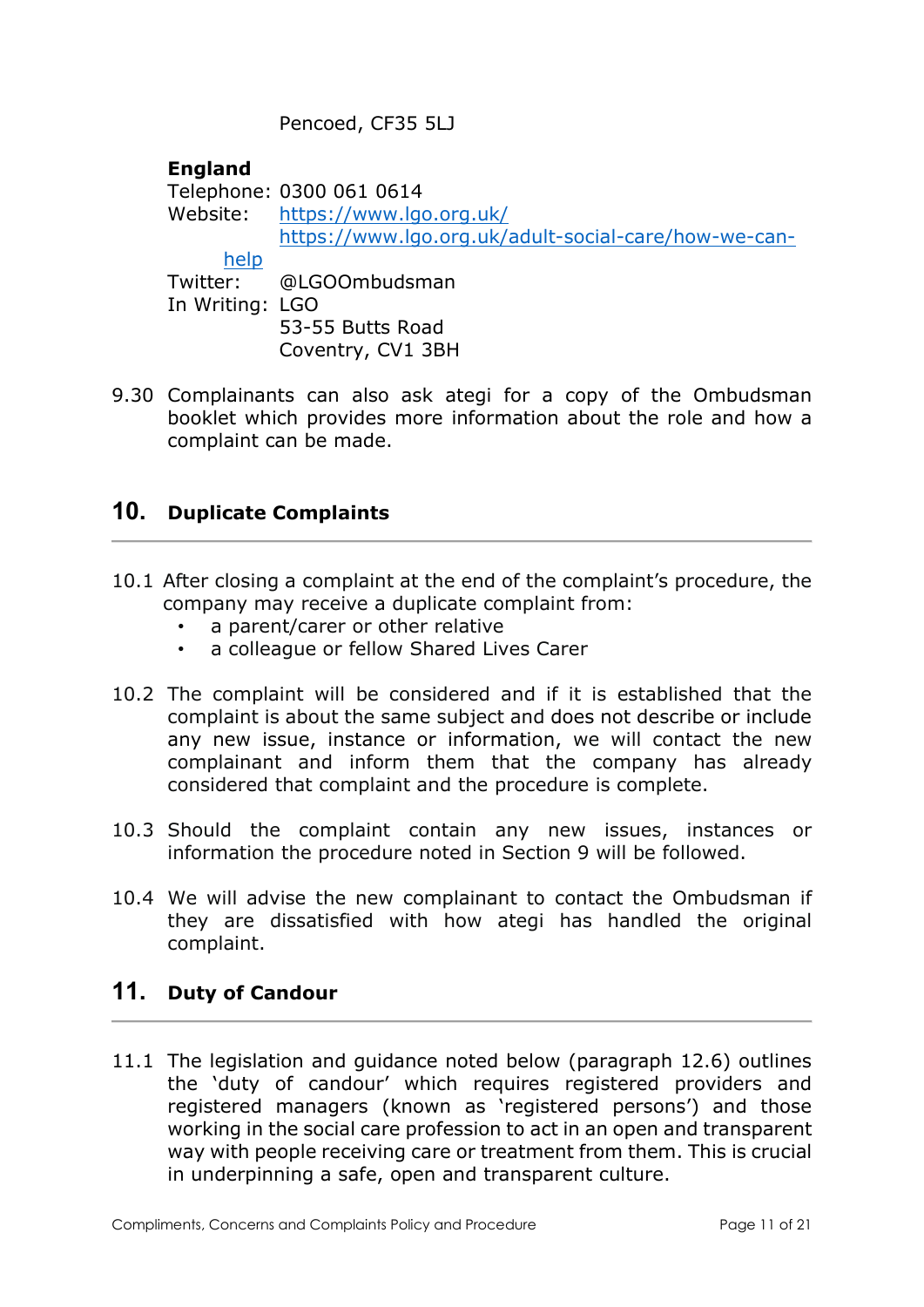Pencoed, CF35 5LJ

### **England**

 Telephone: 0300 061 0614 Website: https://www.lgo.org.uk/ https://www.lgo.org.uk/adult-social-care/how-we-canhelp Twitter: @LGOOmbudsman In Writing: LGO 53-55 Butts Road

- Coventry, CV1 3BH
- 9.30 Complainants can also ask ategi for a copy of the Ombudsman booklet which provides more information about the role and how a complaint can be made.

# 10. Duplicate Complaints

- 10.1 After closing a complaint at the end of the complaint's procedure, the company may receive a duplicate complaint from:
	- a parent/carer or other relative
	- a colleague or fellow Shared Lives Carer
- 10.2 The complaint will be considered and if it is established that the complaint is about the same subject and does not describe or include any new issue, instance or information, we will contact the new complainant and inform them that the company has already considered that complaint and the procedure is complete.
- 10.3 Should the complaint contain any new issues, instances or information the procedure noted in Section 9 will be followed.
- 10.4 We will advise the new complainant to contact the Ombudsman if they are dissatisfied with how ategi has handled the original complaint.

## 11. Duty of Candour

11.1 The legislation and guidance noted below (paragraph 12.6) outlines the 'duty of candour' which requires registered providers and registered managers (known as 'registered persons') and those working in the social care profession to act in an open and transparent way with people receiving care or treatment from them. This is crucial in underpinning a safe, open and transparent culture.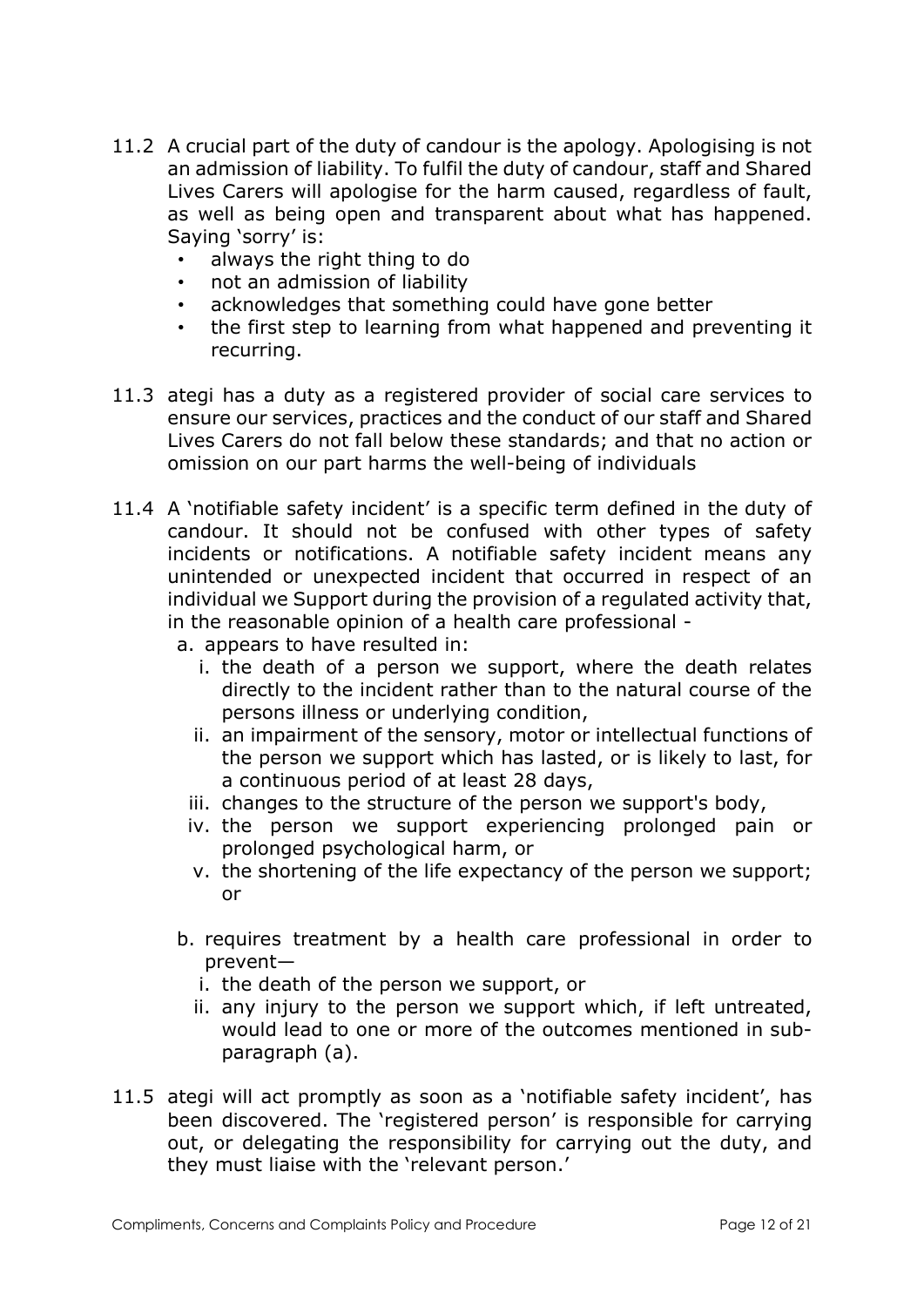- 11.2 A crucial part of the duty of candour is the apology. Apologising is not an admission of liability. To fulfil the duty of candour, staff and Shared Lives Carers will apologise for the harm caused, regardless of fault, as well as being open and transparent about what has happened. Saying 'sorry' is:
	- always the right thing to do
	- not an admission of liability
	- acknowledges that something could have gone better
	- the first step to learning from what happened and preventing it recurring.
- 11.3 ategi has a duty as a registered provider of social care services to ensure our services, practices and the conduct of our staff and Shared Lives Carers do not fall below these standards; and that no action or omission on our part harms the well-being of individuals
- 11.4 A 'notifiable safety incident' is a specific term defined in the duty of candour. It should not be confused with other types of safety incidents or notifications. A notifiable safety incident means any unintended or unexpected incident that occurred in respect of an individual we Support during the provision of a regulated activity that, in the reasonable opinion of a health care professional
	- a. appears to have resulted in:
		- i. the death of a person we support, where the death relates directly to the incident rather than to the natural course of the persons illness or underlying condition,
		- ii. an impairment of the sensory, motor or intellectual functions of the person we support which has lasted, or is likely to last, for a continuous period of at least 28 days,
		- iii. changes to the structure of the person we support's body,
		- iv. the person we support experiencing prolonged pain or prolonged psychological harm, or
		- v. the shortening of the life expectancy of the person we support; or
	- b. requires treatment by a health care professional in order to prevent
		- i. the death of the person we support, or
		- ii. any injury to the person we support which, if left untreated, would lead to one or more of the outcomes mentioned in subparagraph (a).
- 11.5 ategi will act promptly as soon as a 'notifiable safety incident', has been discovered. The 'registered person' is responsible for carrying out, or delegating the responsibility for carrying out the duty, and they must liaise with the 'relevant person.'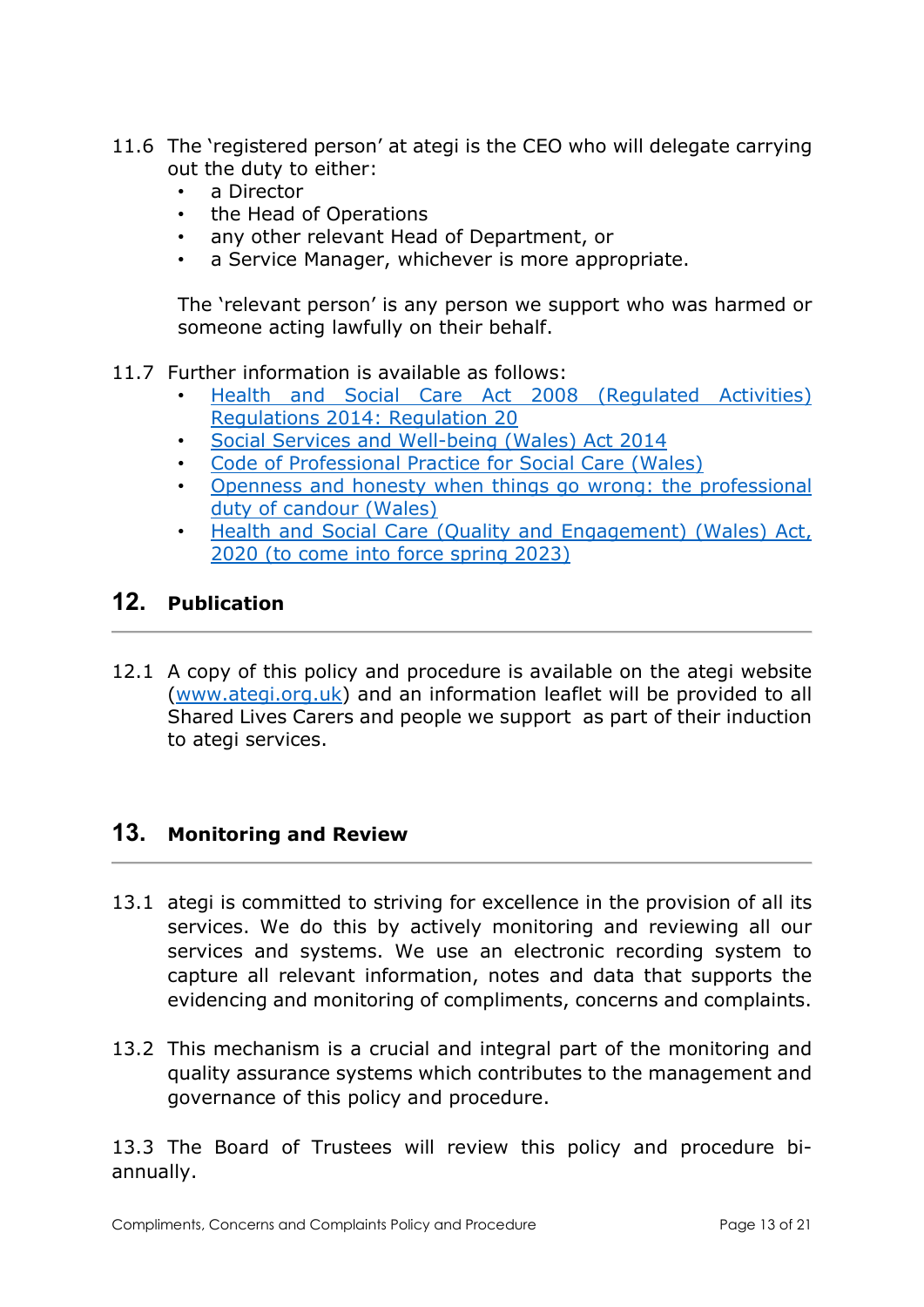- 11.6 The 'registered person' at ategi is the CEO who will delegate carrying out the duty to either:
	- a Director
	- the Head of Operations
	- any other relevant Head of Department, or
	- a Service Manager, whichever is more appropriate.

The 'relevant person' is any person we support who was harmed or someone acting lawfully on their behalf.

11.7 Further information is available as follows:

- Health and Social Care Act 2008 (Regulated Activities) Regulations 2014: Regulation 20
- Social Services and Well-being (Wales) Act 2014
- Code of Professional Practice for Social Care (Wales)
- Openness and honesty when things go wrong: the professional duty of candour (Wales)
- Health and Social Care (Quality and Engagement) (Wales) Act, 2020 (to come into force spring 2023)

# 12. Publication

12.1 A copy of this policy and procedure is available on the ategi website (www.ategi.org.uk) and an information leaflet will be provided to all Shared Lives Carers and people we support as part of their induction to ategi services.

## 13. Monitoring and Review

- 13.1 ategi is committed to striving for excellence in the provision of all its services. We do this by actively monitoring and reviewing all our services and systems. We use an electronic recording system to capture all relevant information, notes and data that supports the evidencing and monitoring of compliments, concerns and complaints.
- 13.2 This mechanism is a crucial and integral part of the monitoring and quality assurance systems which contributes to the management and governance of this policy and procedure.

13.3 The Board of Trustees will review this policy and procedure biannually.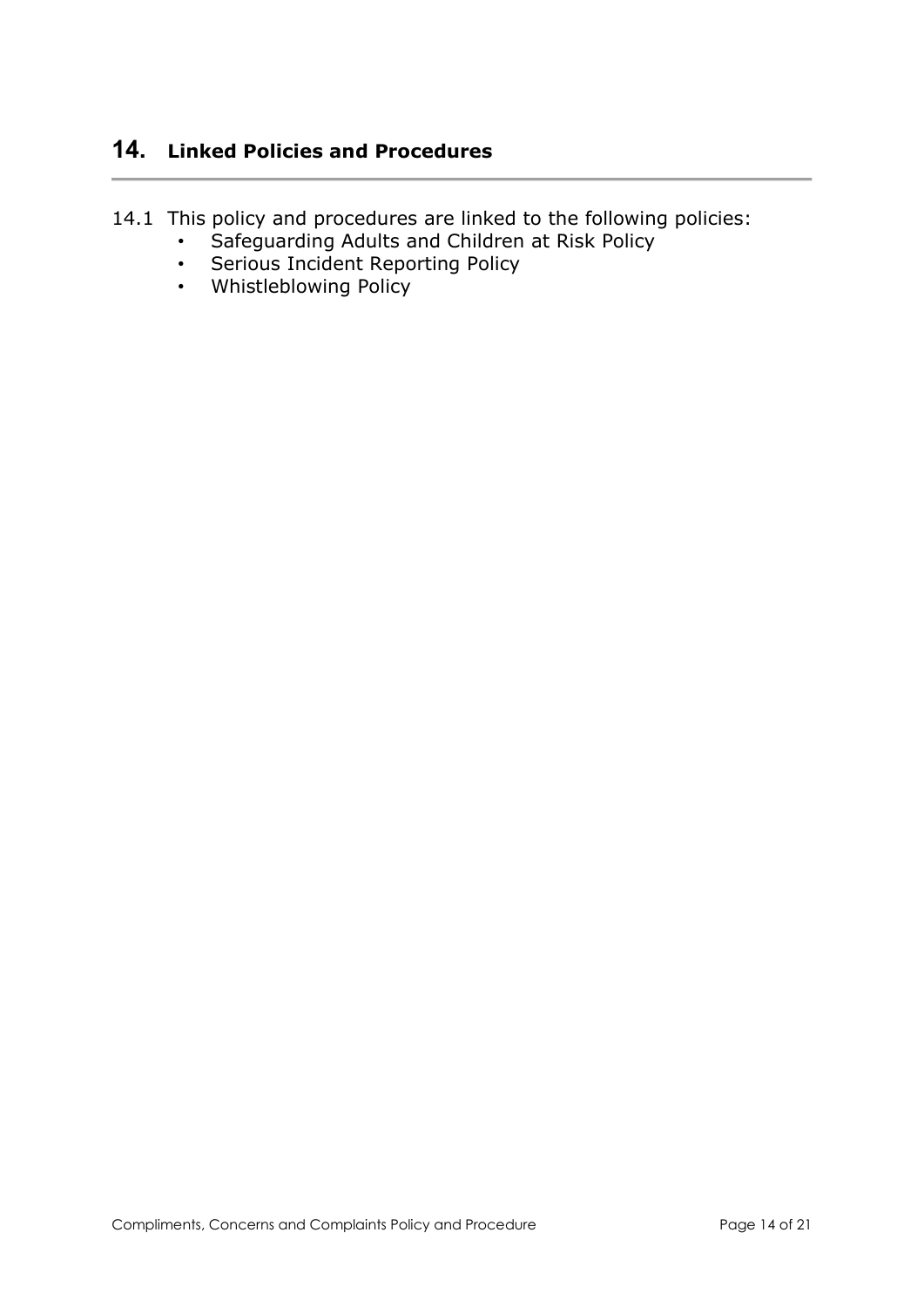# 14. Linked Policies and Procedures

- 14.1 This policy and procedures are linked to the following policies:
	- Safeguarding Adults and Children at Risk Policy
	- Serious Incident Reporting Policy
	- Whistleblowing Policy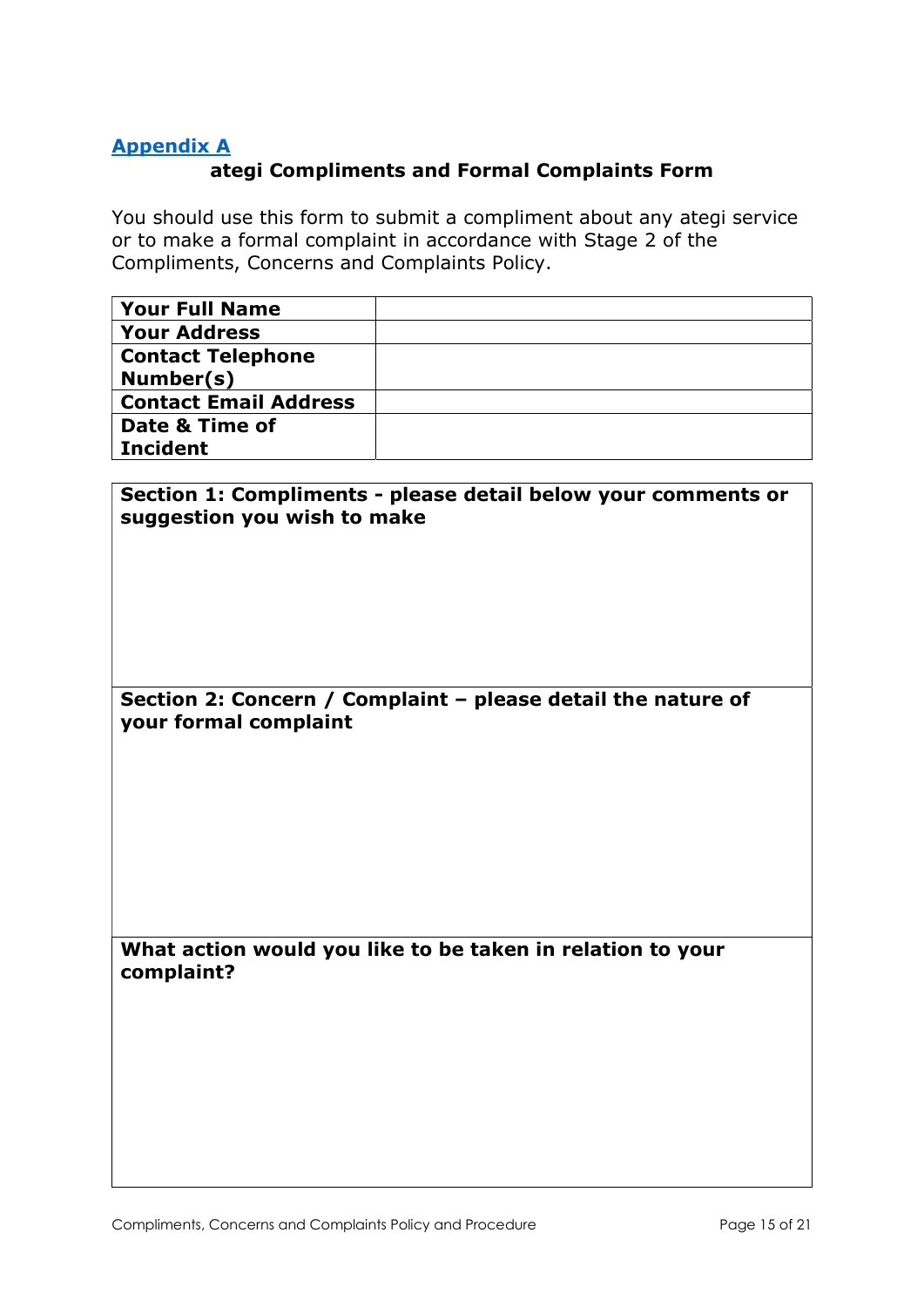### Appendix A

### ategi Compliments and Formal Complaints Form

You should use this form to submit a compliment about any ategi service or to make a formal complaint in accordance with Stage 2 of the Compliments, Concerns and Complaints Policy.

| <b>Your Full Name</b>        |  |
|------------------------------|--|
| <b>Your Address</b>          |  |
| <b>Contact Telephone</b>     |  |
| Number(s)                    |  |
| <b>Contact Email Address</b> |  |
| Date & Time of               |  |
| <b>Incident</b>              |  |

### Section 1: Compliments - please detail below your comments or suggestion you wish to make

#### Section 2: Concern / Complaint – please detail the nature of your formal complaint

What action would you like to be taken in relation to your complaint?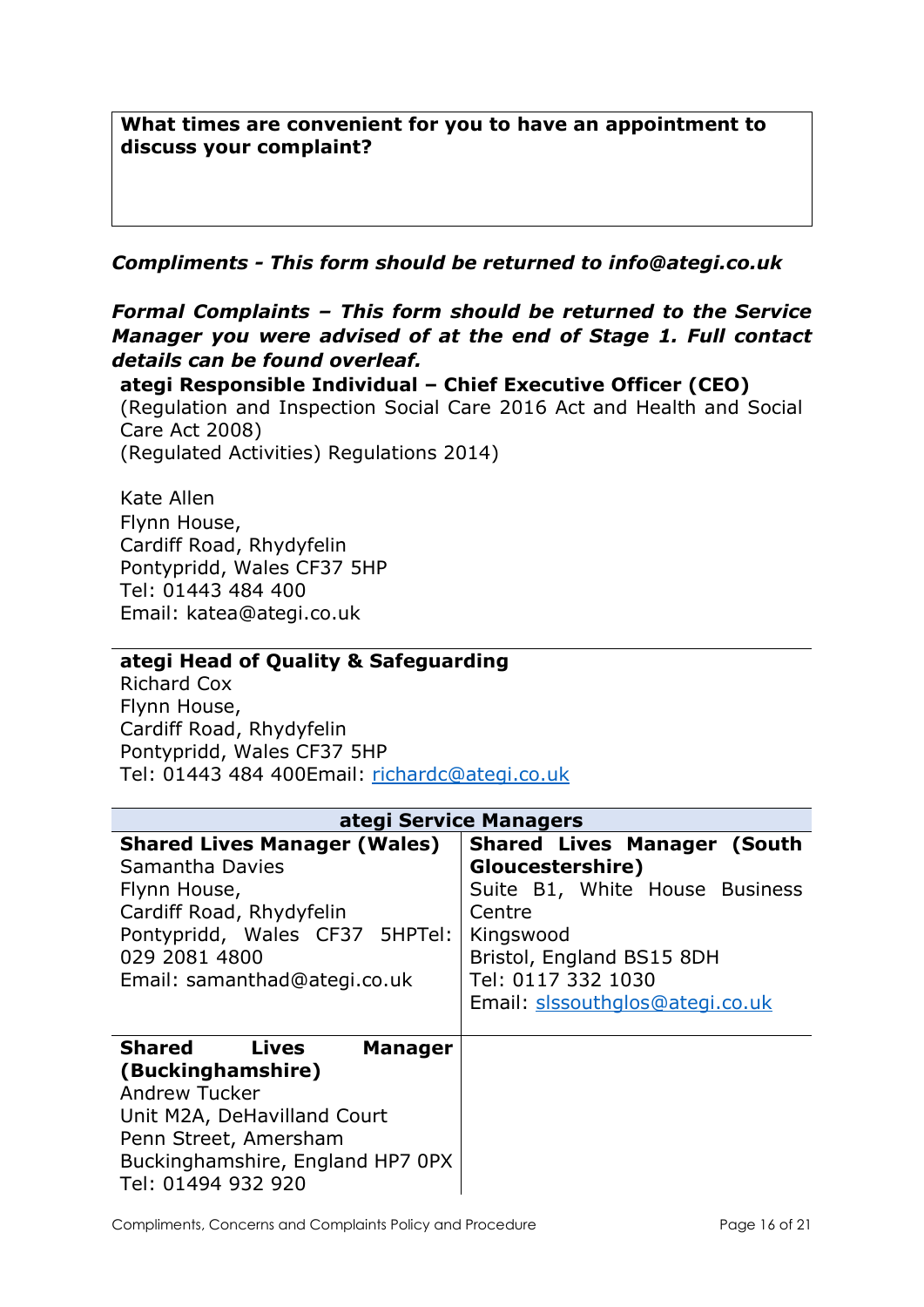What times are convenient for you to have an appointment to discuss your complaint?

Compliments - This form should be returned to info@ategi.co.uk

Formal Complaints – This form should be returned to the Service Manager you were advised of at the end of Stage 1. Full contact details can be found overleaf.

ategi Responsible Individual – Chief Executive Officer (CEO) (Regulation and Inspection Social Care 2016 Act and Health and Social Care Act 2008) (Regulated Activities) Regulations 2014)

Kate Allen Flynn House, Cardiff Road, Rhydyfelin Pontypridd, Wales CF37 5HP Tel: 01443 484 400 Email: katea@ategi.co.uk

#### ategi Head of Quality & Safeguarding

Richard Cox Flynn House, Cardiff Road, Rhydyfelin Pontypridd, Wales CF37 5HP Tel: 01443 484 400Email: richardc@ategi.co.uk

| ategi Service Managers                                                                                                                                                                           |                                                                                                                                                                                                       |  |  |  |
|--------------------------------------------------------------------------------------------------------------------------------------------------------------------------------------------------|-------------------------------------------------------------------------------------------------------------------------------------------------------------------------------------------------------|--|--|--|
| <b>Shared Lives Manager (Wales)</b><br>Samantha Davies<br>Flynn House,<br>Cardiff Road, Rhydyfelin<br>Pontypridd, Wales CF37 5HPTel:<br>029 2081 4800<br>Email: samanthad@ategi.co.uk            | <b>Shared Lives Manager (South</b><br>Gloucestershire)<br>Suite B1, White House Business<br>Centre<br>Kingswood<br>Bristol, England BS15 8DH<br>Tel: 0117 332 1030<br>Email: slssouthglos@ategi.co.uk |  |  |  |
| Shared<br>Lives<br><b>Manager</b><br>(Buckinghamshire)<br><b>Andrew Tucker</b><br>Unit M2A, DeHavilland Court<br>Penn Street, Amersham<br>Buckinghamshire, England HP7 0PX<br>Tel: 01494 932 920 |                                                                                                                                                                                                       |  |  |  |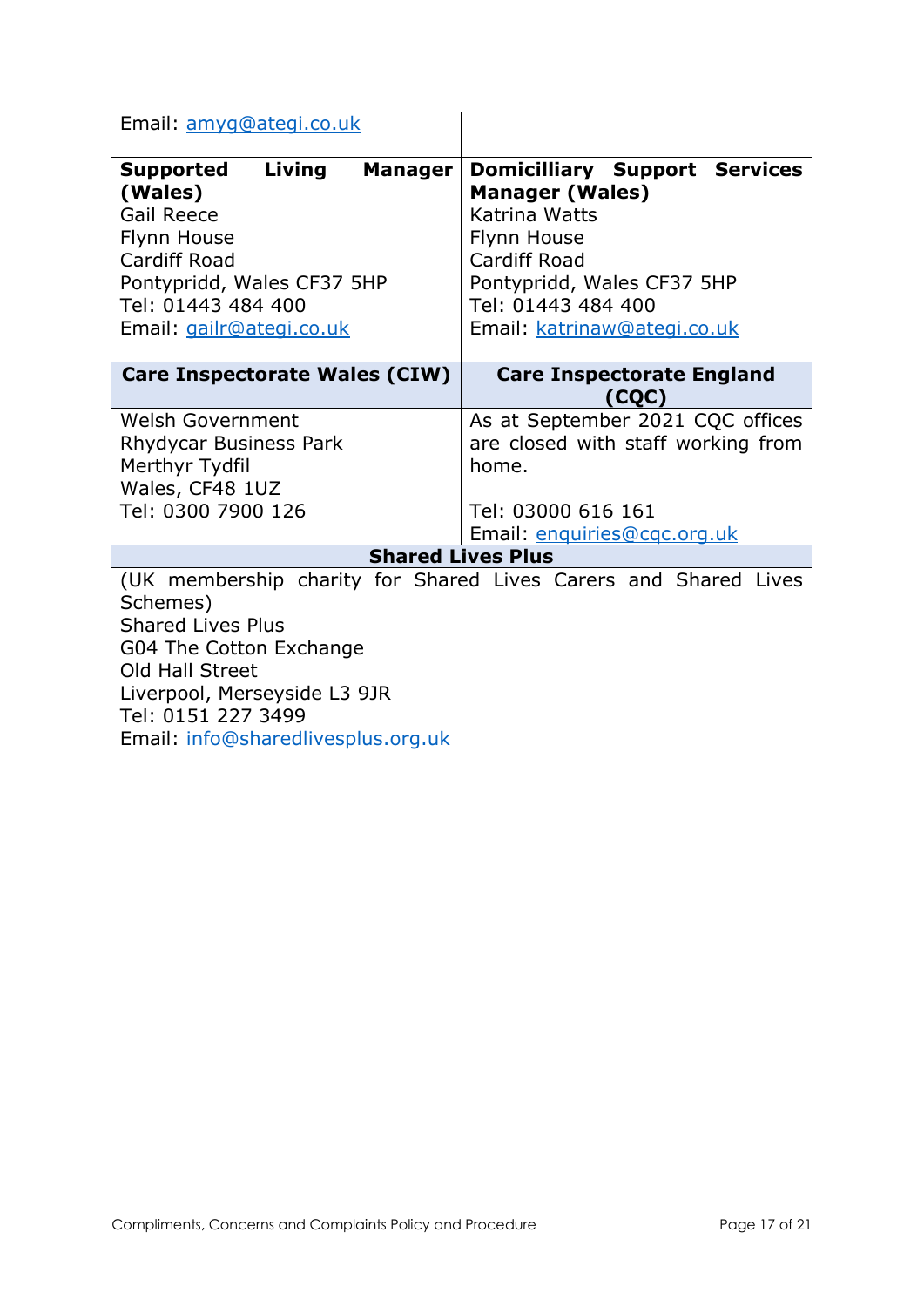Email: amyg@ategi.co.uk

| Living<br>Supported<br><b>Manager</b><br>(Wales)<br><b>Gail Reece</b><br>Flynn House<br><b>Cardiff Road</b><br>Pontypridd, Wales CF37 5HP<br>Tel: 01443 484 400<br>Email: gailr@ategi.co.uk | <b>Domicilliary Support Services</b><br><b>Manager (Wales)</b><br>Katrina Watts<br>Flynn House<br><b>Cardiff Road</b><br>Pontypridd, Wales CF37 5HP<br>Tel: 01443 484 400<br>Email: katrinaw@ategi.co.uk |  |
|---------------------------------------------------------------------------------------------------------------------------------------------------------------------------------------------|----------------------------------------------------------------------------------------------------------------------------------------------------------------------------------------------------------|--|
| <b>Care Inspectorate Wales (CIW)</b>                                                                                                                                                        | <b>Care Inspectorate England</b><br>(CQC)                                                                                                                                                                |  |
| <b>Welsh Government</b><br>Rhydycar Business Park<br>Merthyr Tydfil<br>Wales, CF48 1UZ<br>Tel: 0300 7900 126                                                                                | As at September 2021 CQC offices<br>are closed with staff working from<br>home.<br>Tel: 03000 616 161<br>Email: enquiries@cqc.org.uk                                                                     |  |
| <b>Shared Lives Plus</b>                                                                                                                                                                    |                                                                                                                                                                                                          |  |
| Schemes)<br><b>Shared Lives Plus</b><br>G04 The Cotton Exchange<br>Old Hall Street<br>Liverpool, Merseyside L3 9JR<br>Tel: 0151 227 3499<br>Email: info@sharedlivesplus.org.uk              | (UK membership charity for Shared Lives Carers and Shared Lives                                                                                                                                          |  |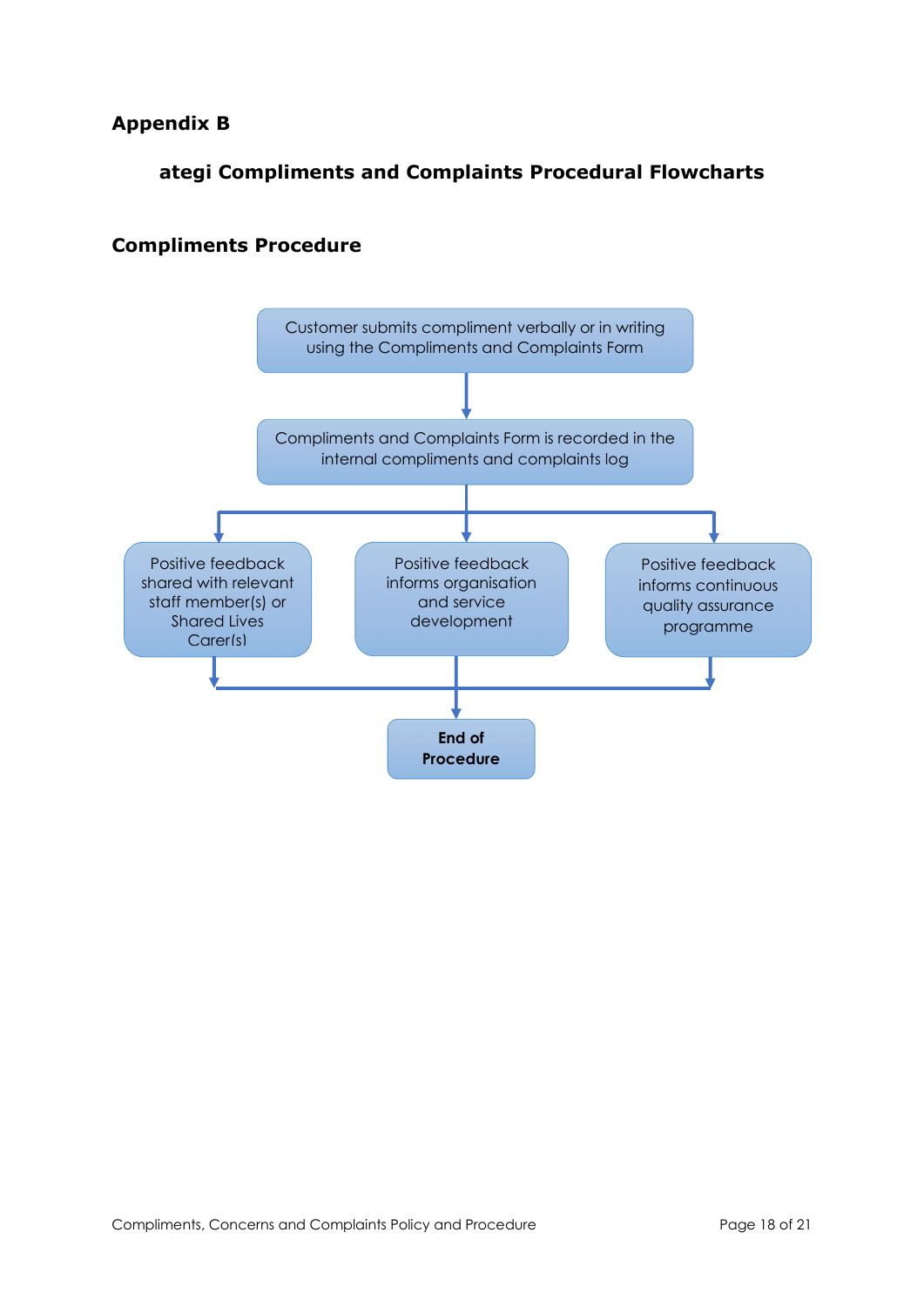## Appendix B

## ategi Compliments and Complaints Procedural Flowcharts

# Customer submits compliment verbally or in writing using the Compliments and Complaints Form Compliments and Complaints Form is recorded in the internal compliments and complaints log Positive feedback shared with relevant staff member(s) or Shared Lives Carer(s) Positive feedback informs organisation and service development Positive feedback informs continuous quality assurance programme End of Procedure

#### Compliments Procedure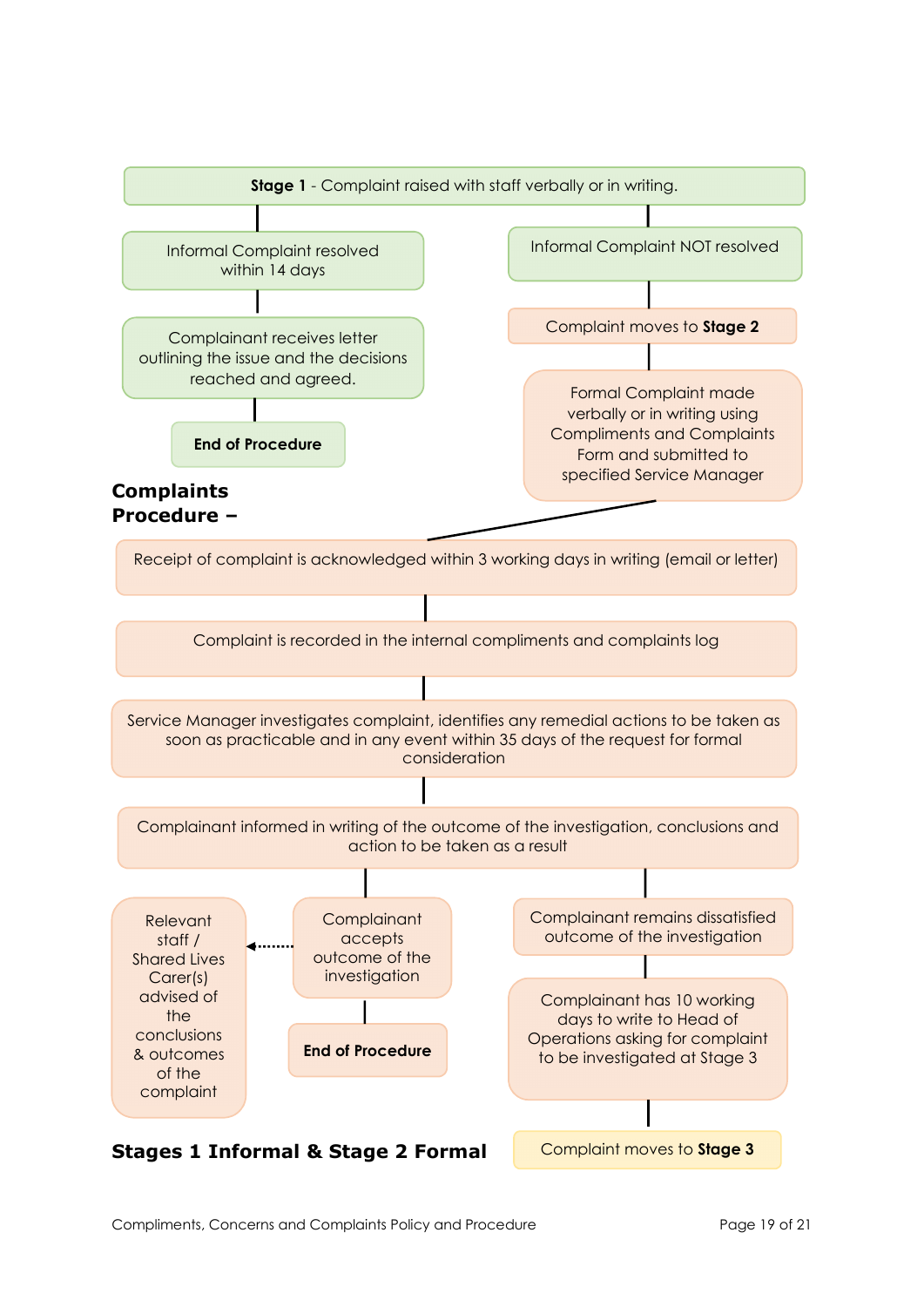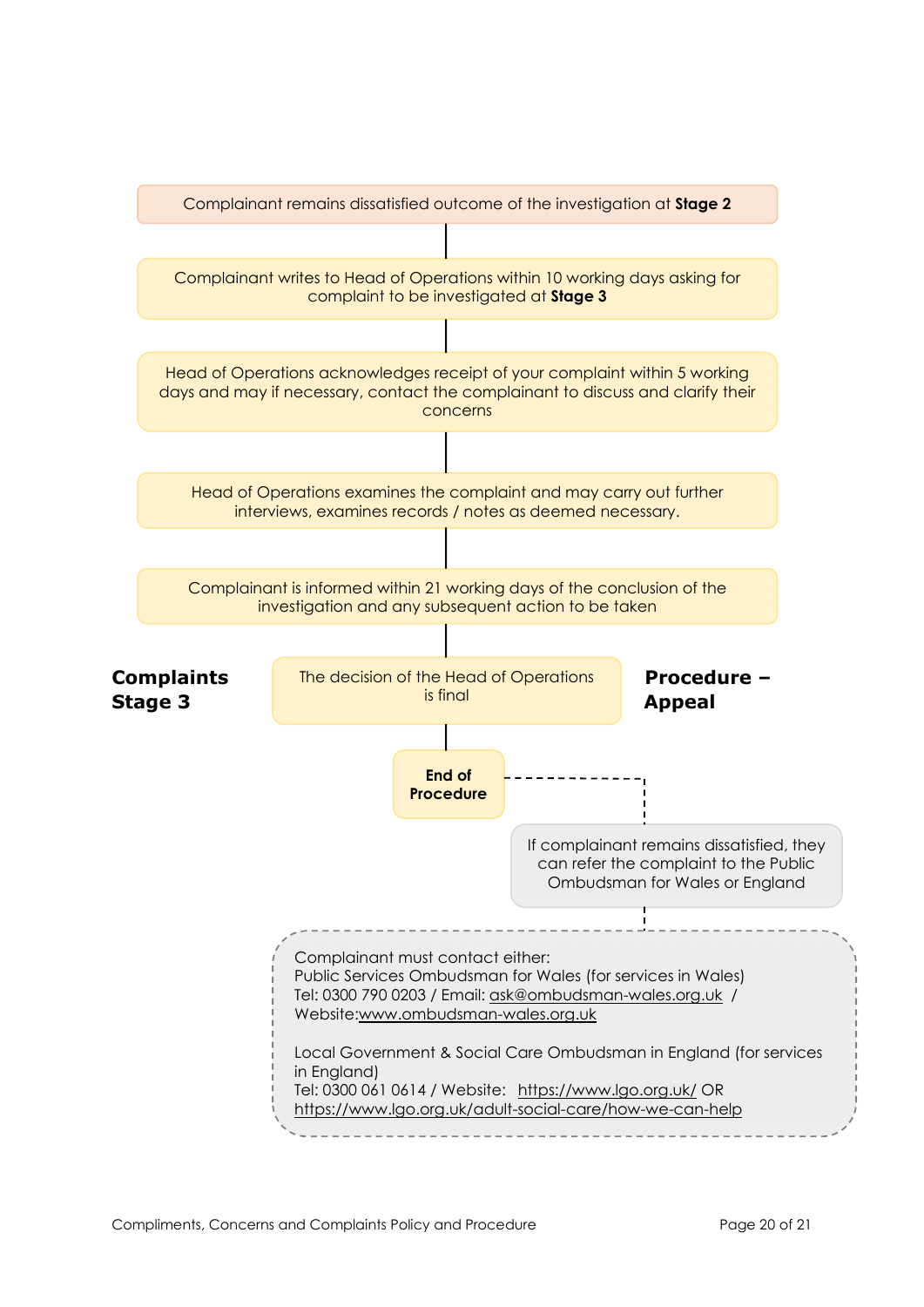